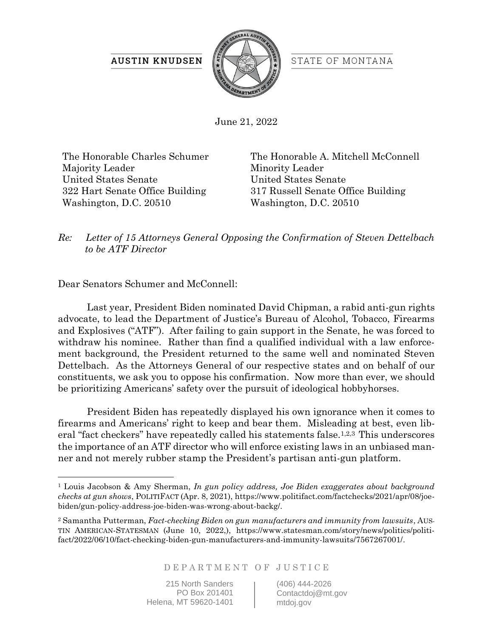## **AUSTIN KNUDSEN**



STATE OF MONTANA

June 21, 2022

The Honorable Charles Schumer Majority Leader United States Senate 322 Hart Senate Office Building Washington, D.C. 20510

The Honorable A. Mitchell McConnell Minority Leader United States Senate 317 Russell Senate Office Building Washington, D.C. 20510

*Re: Letter of 15 Attorneys General Opposing the Confirmation of Steven Dettelbach to be ATF Director*

Dear Senators Schumer and McConnell:

Last year, President Biden nominated David Chipman, a rabid anti-gun rights advocate, to lead the Department of Justice's Bureau of Alcohol, Tobacco, Firearms and Explosives ("ATF"). After failing to gain support in the Senate, he was forced to withdraw his nominee. Rather than find a qualified individual with a law enforcement background, the President returned to the same well and nominated Steven Dettelbach. As the Attorneys General of our respective states and on behalf of our constituents, we ask you to oppose his confirmation. Now more than ever, we should be prioritizing Americans' safety over the pursuit of ideological hobbyhorses.

President Biden has repeatedly displayed his own ignorance when it comes to firearms and Americans' right to keep and bear them. Misleading at best, even liberal "fact checkers" have repeatedly called his statements false.1,2,3 This underscores the importance of an ATF director who will enforce existing laws in an unbiased manner and not merely rubber stamp the President's partisan anti-gun platform.

DEPARTMENT OF JUSTICE

215 North Sanders PO Box 201401 Helena, MT 59620-1401 (406) 444-2026 Contactdoj@mt.gov mtdoj.gov

<sup>1</sup> Louis Jacobson & Amy Sherman, *In gun policy address, Joe Biden exaggerates about background checks at gun shows*, POLITIFACT (Apr. 8, 2021), [https://www.politifact.com/factchecks/2021/apr/08/joe](https://www.politifact.com/factchecks/2021/apr/08/joe-biden/gun-policy-address-joe-biden-was-wrong-about-backg/)[biden/gun-policy-address-joe-biden-was-wrong-about-backg/.](https://www.politifact.com/factchecks/2021/apr/08/joe-biden/gun-policy-address-joe-biden-was-wrong-about-backg/)

<sup>2</sup> Samantha Putterman, *Fact-checking Biden on gun manufacturers and immunity from lawsuits*, AUS-TIN AMERICAN-STATESMAN (June 10, 2022,), [https://www.statesman.com/story/news/politics/politi](https://www.statesman.com/story/news/politics/politifact/2022/06/10/fact-checking-biden-gun-manufacturers-and-immunity-lawsuits/7567267001/)[fact/2022/06/10/fact-checking-biden-gun-manufacturers-and-immunity-lawsuits/7567267001/.](https://www.statesman.com/story/news/politics/politifact/2022/06/10/fact-checking-biden-gun-manufacturers-and-immunity-lawsuits/7567267001/)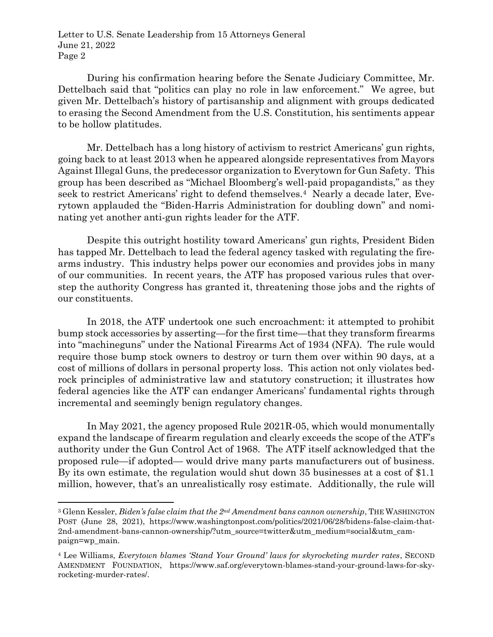During his confirmation hearing before the Senate Judiciary Committee, Mr. Dettelbach said that "politics can play no role in law enforcement." We agree, but given Mr. Dettelbach's history of partisanship and alignment with groups dedicated to erasing the Second Amendment from the U.S. Constitution, his sentiments appear to be hollow platitudes.

Mr. Dettelbach has a long history of activism to restrict Americans' gun rights, going back to at least 2013 when he appeared alongside representatives from Mayors Against Illegal Guns, the predecessor organization to Everytown for Gun Safety. This group has been described as "Michael Bloomberg's well-paid propagandists," as they seek to restrict Americans' right to defend themselves.<sup>4</sup> Nearly a decade later, Everytown applauded the "Biden-Harris Administration for doubling down" and nominating yet another anti-gun rights leader for the ATF.

Despite this outright hostility toward Americans' gun rights, President Biden has tapped Mr. Dettelbach to lead the federal agency tasked with regulating the firearms industry. This industry helps power our economies and provides jobs in many of our communities. In recent years, the ATF has proposed various rules that overstep the authority Congress has granted it, threatening those jobs and the rights of our constituents.

In 2018, the ATF undertook one such encroachment: it attempted to prohibit bump stock accessories by asserting—for the first time—that they transform firearms into "machineguns" under the National Firearms Act of 1934 (NFA). The rule would require those bump stock owners to destroy or turn them over within 90 days, at a cost of millions of dollars in personal property loss. This action not only violates bedrock principles of administrative law and statutory construction; it illustrates how federal agencies like the ATF can endanger Americans' fundamental rights through incremental and seemingly benign regulatory changes.

In May 2021, the agency proposed Rule 2021R-05, which would monumentally expand the landscape of firearm regulation and clearly exceeds the scope of the ATF's authority under the Gun Control Act of 1968. The ATF itself acknowledged that the proposed rule—if adopted— would drive many parts manufacturers out of business. By its own estimate, the regulation would shut down 35 businesses at a cost of \$1.1 million, however, that's an unrealistically rosy estimate. Additionally, the rule will

<sup>3</sup> Glenn Kessler, *Biden's false claim that the 2nd Amendment bans cannon ownership*, THE WASHINGTON POST (June 28, 2021), https://www.washingtonpost.com/politics/2021/06/28/bidens-false-claim-that-2nd-amendment-bans-cannon-ownership/?utm\_source=twitter&utm\_medium=social&utm\_campaign=wp\_main.

<sup>4</sup> Lee Williams, *Everytown blames 'Stand Your Ground' laws for skyrocketing murder rates*, SECOND AMENDMENT FOUNDATION, [https://www.saf.org/everytown-blames-stand-your-ground-laws-for-sky](https://www.saf.org/everytown-blames-stand-your-ground-laws-for-skyrocketing-murder-rates/)[rocketing-murder-rates/.](https://www.saf.org/everytown-blames-stand-your-ground-laws-for-skyrocketing-murder-rates/)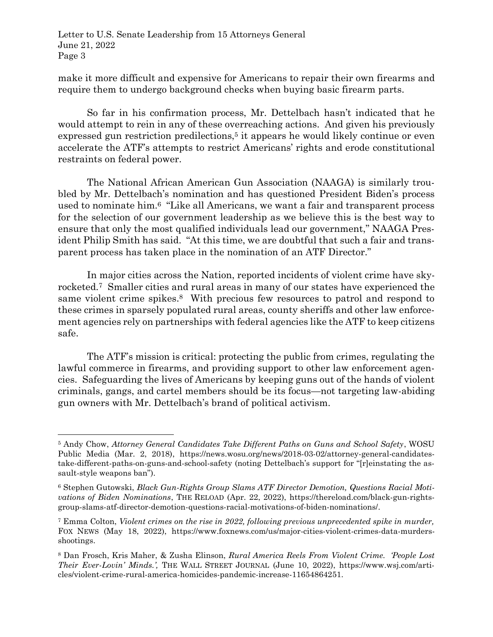make it more difficult and expensive for Americans to repair their own firearms and require them to undergo background checks when buying basic firearm parts.

So far in his confirmation process, Mr. Dettelbach hasn't indicated that he would attempt to rein in any of these overreaching actions. And given his previously expressed gun restriction predilections,<sup>5</sup> it appears he would likely continue or even accelerate the ATF's attempts to restrict Americans' rights and erode constitutional restraints on federal power.

The National African American Gun Association (NAAGA) is similarly troubled by Mr. Dettelbach's nomination and has questioned President Biden's process used to nominate him.<sup>6</sup> "Like all Americans, we want a fair and transparent process for the selection of our government leadership as we believe this is the best way to ensure that only the most qualified individuals lead our government," NAAGA President Philip Smith has said. "At this time, we are doubtful that such a fair and transparent process has taken place in the nomination of an ATF Director."

In major cities across the Nation, reported incidents of violent crime have skyrocketed. <sup>7</sup> Smaller cities and rural areas in many of our states have experienced the same violent crime spikes. <sup>8</sup> With precious few resources to patrol and respond to these crimes in sparsely populated rural areas, county sheriffs and other law enforcement agencies rely on partnerships with federal agencies like the ATF to keep citizens safe.

The ATF's mission is critical: protecting the public from crimes, regulating the lawful commerce in firearms, and providing support to other law enforcement agencies. Safeguarding the lives of Americans by keeping guns out of the hands of violent criminals, gangs, and cartel members should be its focus—not targeting law-abiding gun owners with Mr. Dettelbach's brand of political activism.

<sup>5</sup> Andy Chow, *Attorney General Candidates Take Different Paths on Guns and School Safety*, WOSU Public Media (Mar. 2, 2018), https://news.wosu.org/news/2018-03-02/attorney-general-candidatestake-different-paths-on-guns-and-school-safety (noting Dettelbach's support for "[r]einstating the assault-style weapons ban").

<sup>6</sup> Stephen Gutowski, *Black Gun-Rights Group Slams ATF Director Demotion, Questions Racial Motivations of Biden Nominations*, THE RELOAD (Apr. 22, 2022), [https://thereload.com/black-gun-rights](https://thereload.com/black-gun-rights-group-slams-atf-director-demotion-questions-racial-motivations-of-biden-nominations/)[group-slams-atf-director-demotion-questions-racial-motivations-of-biden-nominations/.](https://thereload.com/black-gun-rights-group-slams-atf-director-demotion-questions-racial-motivations-of-biden-nominations/)

<sup>7</sup> Emma Colton, *Violent crimes on the rise in 2022, following previous unprecedented spike in murder,*  FOX NEWS (May 18, 2022), [https://www.foxnews.com/us/major-cities-violent-crimes-data-murders](https://www.foxnews.com/us/major-cities-violent-crimes-data-murders-shootings)[shootings.](https://www.foxnews.com/us/major-cities-violent-crimes-data-murders-shootings)

<sup>8</sup> Dan Frosch, Kris Maher, & Zusha Elinson, *Rural America Reels From Violent Crime. 'People Lost Their Ever-Lovin' Minds.',* THE WALL STREET JOURNAL (June 10, 2022), https://www.wsj.com/articles/violent-crime-rural-america-homicides-pandemic-increase-11654864251.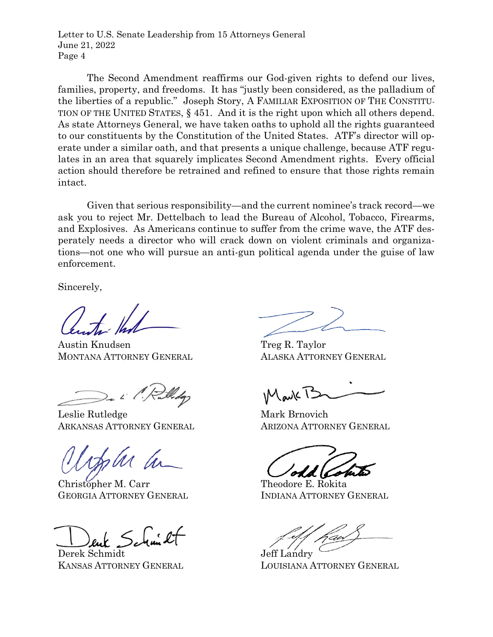The Second Amendment reaffirms our God-given rights to defend our lives, families, property, and freedoms. It has "justly been considered, as the palladium of the liberties of a republic." Joseph Story, A FAMILIAR EXPOSITION OF THE CONSTITU-TION OF THE UNITED STATES, § 451. And it is the right upon which all others depend. As state Attorneys General, we have taken oaths to uphold all the rights guaranteed to our constituents by the Constitution of the United States. ATF's director will operate under a similar oath, and that presents a unique challenge, because ATF regulates in an area that squarely implicates Second Amendment rights. Every official action should therefore be retrained and refined to ensure that those rights remain intact.

Given that serious responsibility—and the current nominee's track record—we ask you to reject Mr. Dettelbach to lead the Bureau of Alcohol, Tobacco, Firearms, and Explosives. As Americans continue to suffer from the crime wave, the ATF desperately needs a director who will crack down on violent criminals and organizations—not one who will pursue an anti-gun political agenda under the guise of law enforcement.

Sincerely,

Austin Knudsen Treg R. Taylor MONTANA ATTORNEY GENERAL ALASKA ATTORNEY GENERAL

Leslie Rutledge Mark Brnovich ARKANSAS ATTORNEY GENERAL ARIZONA ATTORNEY GENERAL

Christopher M. Carr Theodore E. Rokita GEORGIA ATTORNEY GENERAL INDIANA ATTORNEY GENERAL

Derek Schmidt Jeff Landry

Mark T

KANSAS ATTORNEY GENERAL LOUISIANA ATTORNEY GENERAL